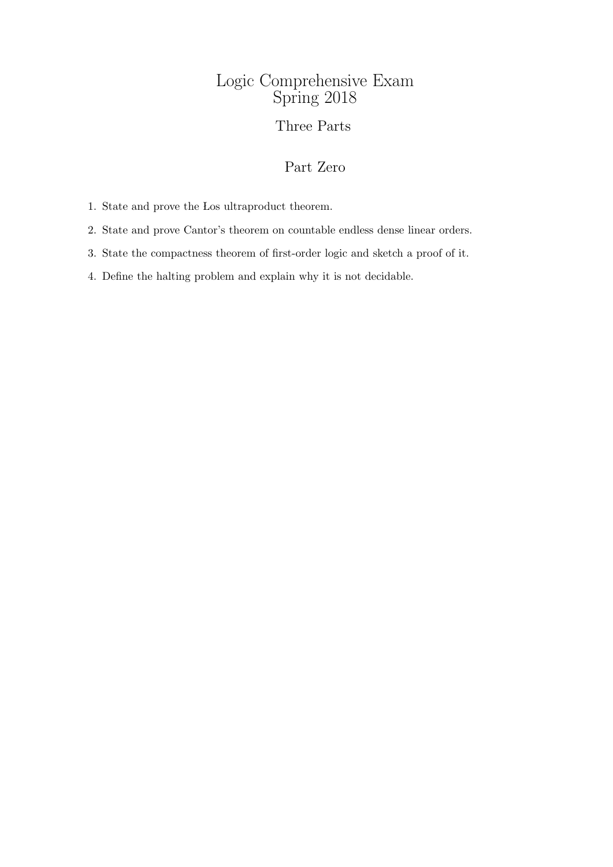# Logic Comprehensive Exam Spring 2018

### Three Parts

# Part Zero

1. State and prove the Los ultraproduct theorem.

2. State and prove Cantor's theorem on countable endless dense linear orders.

3. State the compactness theorem of first-order logic and sketch a proof of it.

4. Define the halting problem and explain why it is not decidable.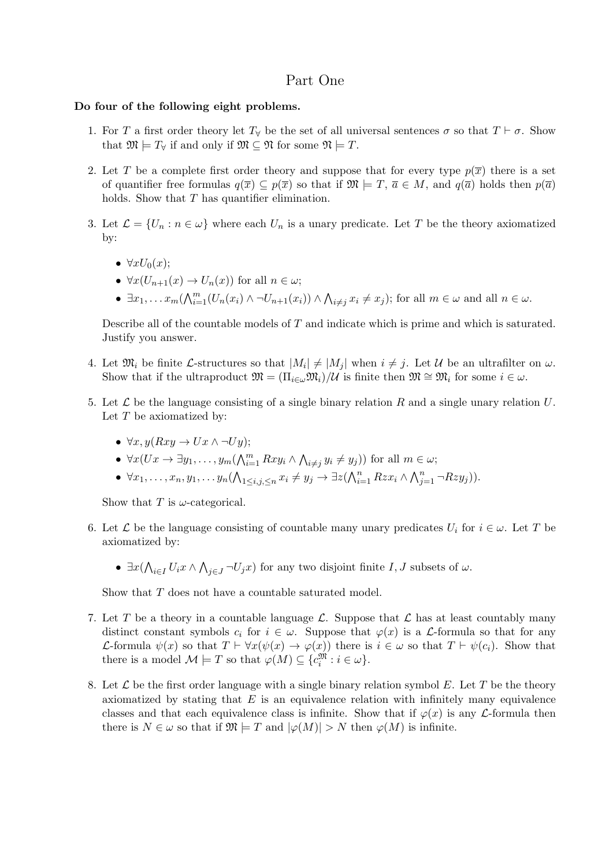### Part One

#### Do four of the following eight problems.

- 1. For T a first order theory let  $T_{\forall}$  be the set of all universal sentences  $\sigma$  so that  $T \vdash \sigma$ . Show that  $\mathfrak{M} \models T_{\forall}$  if and only if  $\mathfrak{M} \subseteq \mathfrak{N}$  for some  $\mathfrak{N} \models T$ .
- 2. Let T be a complete first order theory and suppose that for every type  $p(\bar{x})$  there is a set of quantifier free formulas  $q(\overline{x}) \subseteq p(\overline{x})$  so that if  $\mathfrak{M} \models T$ ,  $\overline{a} \in M$ , and  $q(\overline{a})$  holds then  $p(\overline{a})$ holds. Show that T has quantifier elimination.
- 3. Let  $\mathcal{L} = \{U_n : n \in \omega\}$  where each  $U_n$  is a unary predicate. Let T be the theory axiomatized by:
	- $\forall x U_0(x)$ ;
	- $\forall x (U_{n+1}(x) \rightarrow U_n(x))$  for all  $n \in \omega$ ;
	- $\exists x_1, \ldots x_m (\bigwedge_{i=1}^m (U_n(x_i) \wedge \neg U_{n+1}(x_i)) \wedge \bigwedge_{i \neq j} x_i \neq x_j);$  for all  $m \in \omega$  and all  $n \in \omega$ .

Describe all of the countable models of T and indicate which is prime and which is saturated. Justify you answer.

- 4. Let  $\mathfrak{M}_i$  be finite L-structures so that  $|M_i| \neq |M_j|$  when  $i \neq j$ . Let U be an ultrafilter on  $\omega$ . Show that if the ultraproduct  $\mathfrak{M} = (\Pi_{i \in \omega} \mathfrak{M}_i)/\mathcal{U}$  is finite then  $\mathfrak{M} \cong \mathfrak{M}_i$  for some  $i \in \omega$ .
- 5. Let  $\mathcal L$  be the language consisting of a single binary relation R and a single unary relation U. Let  $T$  be axiomatized by:
	- $\forall x, y(Rxy \rightarrow Ux \land \neg Uy);$
	- $\forall x (Ux \to \exists y_1, \ldots, y_m (\bigwedge_{i=1}^m Rxy_i \land \bigwedge_{i \neq j} y_i \neq y_j))$  for all  $m \in \omega$ ;
	- $\forall x_1, \ldots, x_n, y_1, \ldots y_n \left( \bigwedge_{1 \leq i, j, \leq n} x_i \neq y_j \rightarrow \exists z \left( \bigwedge_{i=1}^n Rzx_i \wedge \bigwedge_{j=1}^n \neg Rzy_j \right) \right).$

Show that T is  $\omega$ -categorical.

- 6. Let  $\mathcal L$  be the language consisting of countable many unary predicates  $U_i$  for  $i \in \omega$ . Let T be axiomatized by:
	- $\exists x (\bigwedge_{i \in I} U_i x \wedge \bigwedge_{j \in J} \neg U_j x)$  for any two disjoint finite  $I, J$  subsets of  $\omega$ .

Show that T does not have a countable saturated model.

- 7. Let T be a theory in a countable language  $\mathcal{L}$ . Suppose that  $\mathcal{L}$  has at least countably many distinct constant symbols  $c_i$  for  $i \in \omega$ . Suppose that  $\varphi(x)$  is a *L*-formula so that for any L-formula  $\psi(x)$  so that  $T \vdash \forall x(\psi(x) \to \varphi(x))$  there is  $i \in \omega$  so that  $T \vdash \psi(c_i)$ . Show that there is a model  $\mathcal{M} \models T$  so that  $\varphi(M) \subseteq \{c_i^{\mathfrak{M}} : i \in \omega\}.$
- 8. Let  $\mathcal L$  be the first order language with a single binary relation symbol E. Let T be the theory axiomatized by stating that  $E$  is an equivalence relation with infinitely many equivalence classes and that each equivalence class is infinite. Show that if  $\varphi(x)$  is any L-formula then there is  $N \in \omega$  so that if  $\mathfrak{M} \models T$  and  $|\varphi(M)| > N$  then  $\varphi(M)$  is infinite.